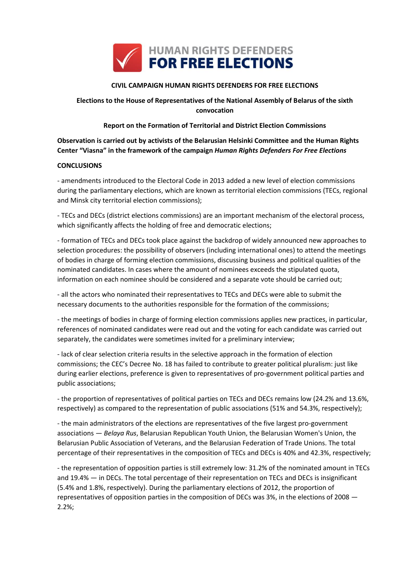

## **CIVIL CAMPAIGN HUMAN RIGHTS DEFENDERS FOR FREE ELECTIONS**

# **Elections to the House of Representatives of the National Assembly of Belarus of the sixth convocation**

### **Report on the Formation of Territorial and District Election Commissions**

**Observation is carried out by activists of the Belarusian Helsinki Committee and the Human Rights Center "Viasna" in the framework of the campaign** *Human Rights Defenders For Free Elections*

### **CONCLUSIONS**

- amendments introduced to the Electoral Code in 2013 added a new level of election commissions during the parliamentary elections, which are known as territorial election commissions (TECs, regional and Minsk city territorial election commissions);

- TECs and DECs (district elections commissions) are an important mechanism of the electoral process, which significantly affects the holding of free and democratic elections;

- formation of TECs and DECs took place against the backdrop of widely announced new approaches to selection procedures: the possibility of observers (including international ones) to attend the meetings of bodies in charge of forming election commissions, discussing business and political qualities of the nominated candidates. In cases where the amount of nominees exceeds the stipulated quota, information on each nominee should be considered and a separate vote should be carried out;

- all the actors who nominated their representatives to TECs and DECs were able to submit the necessary documents to the authorities responsible for the formation of the commissions;

- the meetings of bodies in charge of forming election commissions applies new practices, in particular, references of nominated candidates were read out and the voting for each candidate was carried out separately, the candidates were sometimes invited for a preliminary interview;

- lack of clear selection criteria results in the selective approach in the formation of election commissions; the CEC's Decree No. 18 has failed to contribute to greater political pluralism: just like during earlier elections, preference is given to representatives of pro-government political parties and public associations;

- the proportion of representatives of political parties on TECs and DECs remains low (24.2% and 13.6%, respectively) as compared to the representation of public associations (51% and 54.3%, respectively);

- the main administrators of the elections are representatives of the five largest pro-government associations — *Belaya Rus*, Belarusian Republican Youth Union, the Belarusian Women's Union, the Belarusian Public Association of Veterans, and the Belarusian Federation of Trade Unions. The total percentage of their representatives in the composition of TECs and DECs is 40% and 42.3%, respectively;

- the representation of opposition parties is still extremely low: 31.2% of the nominated amount in TECs and 19.4% — in DECs. The total percentage of their representation on TECs and DECs is insignificant (5.4% and 1.8%, respectively). During the parliamentary elections of 2012, the proportion of representatives of opposition parties in the composition of DECs was 3%, in the elections of 2008 — 2.2%;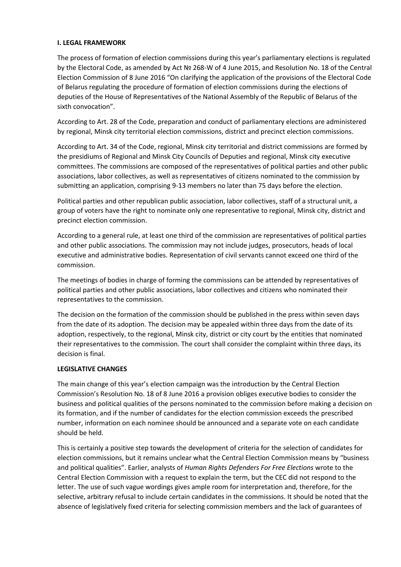### **I. LEGAL FRAMEWORK**

The process of formation of election commissions during this year's parliamentary elections is regulated by the Electoral Code, as amended by Act № 268-W of 4 June 2015, and Resolution No. 18 of the Central Election Commission of 8 June 2016 "On clarifying the application of the provisions of the Electoral Code of Belarus regulating the procedure of formation of election commissions during the elections of deputies of the House of Representatives of the National Assembly of the Republic of Belarus of the sixth convocation".

According to Art. 28 of the Code, preparation and conduct of parliamentary elections are administered by regional, Minsk city territorial election commissions, district and precinct election commissions.

According to Art. 34 of the Code, regional, Minsk city territorial and district commissions are formed by the presidiums of Regional and Minsk City Councils of Deputies and regional, Minsk city executive committees. The commissions are composed of the representatives of political parties and other public associations, labor collectives, as well as representatives of citizens nominated to the commission by submitting an application, comprising 9-13 members no later than 75 days before the election.

Political parties and other republican public association, labor collectives, staff of a structural unit, a group of voters have the right to nominate only one representative to regional, Minsk city, district and precinct election commission.

According to a general rule, at least one third of the commission are representatives of political parties and other public associations. The commission may not include judges, prosecutors, heads of local executive and administrative bodies. Representation of civil servants cannot exceed one third of the commission.

The meetings of bodies in charge of forming the commissions can be attended by representatives of political parties and other public associations, labor collectives and citizens who nominated their representatives to the commission.

The decision on the formation of the commission should be published in the press within seven days from the date of its adoption. The decision may be appealed within three days from the date of its adoption, respectively, to the regional, Minsk city, district or city court by the entities that nominated their representatives to the commission. The court shall consider the complaint within three days, its decision is final.

#### **LEGISLATIVE CHANGES**

The main change of this year's election campaign was the introduction by the Central Election Commission's Resolution No. 18 of 8 June 2016 a provision obliges executive bodies to consider the business and political qualities of the persons nominated to the commission before making a decision on its formation, and if the number of candidates for the election commission exceeds the prescribed number, information on each nominee should be announced and a separate vote on each candidate should be held.

This is certainly a positive step towards the development of criteria for the selection of candidates for election commissions, but it remains unclear what the Central Election Commission means by "business and political qualities". Earlier, analysts of *Human Rights Defenders For Free Elections* wrote to the Central Election Commission with a request to explain the term, but the CEC did not respond to the letter. The use of such vague wordings gives ample room for interpretation and, therefore, for the selective, arbitrary refusal to include certain candidates in the commissions. It should be noted that the absence of legislatively fixed criteria for selecting commission members and the lack of guarantees of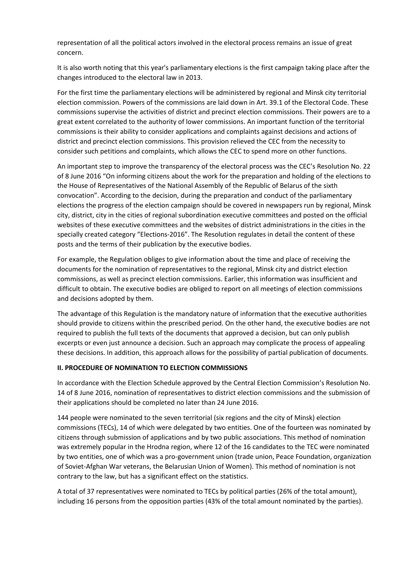representation of all the political actors involved in the electoral process remains an issue of great concern.

It is also worth noting that this year's parliamentary elections is the first campaign taking place after the changes introduced to the electoral law in 2013.

For the first time the parliamentary elections will be administered by regional and Minsk city territorial election commission. Powers of the commissions are laid down in Art. 39.1 of the Electoral Code. These commissions supervise the activities of district and precinct election commissions. Their powers are to a great extent correlated to the authority of lower commissions. An important function of the territorial commissions is their ability to consider applications and complaints against decisions and actions of district and precinct election commissions. This provision relieved the CEC from the necessity to consider such petitions and complaints, which allows the CEC to spend more on other functions.

An important step to improve the transparency of the electoral process was the CEC's Resolution No. 22 of 8 June 2016 "On informing citizens about the work for the preparation and holding of the elections to the House of Representatives of the National Assembly of the Republic of Belarus of the sixth convocation". According to the decision, during the preparation and conduct of the parliamentary elections the progress of the election campaign should be covered in newspapers run by regional, Minsk city, district, city in the cities of regional subordination executive committees and posted on the official websites of these executive committees and the websites of district administrations in the cities in the specially created category "Elections-2016". The Resolution regulates in detail the content of these posts and the terms of their publication by the executive bodies.

For example, the Regulation obliges to give information about the time and place of receiving the documents for the nomination of representatives to the regional, Minsk city and district election commissions, as well as precinct election commissions. Earlier, this information was insufficient and difficult to obtain. The executive bodies are obliged to report on all meetings of election commissions and decisions adopted by them.

The advantage of this Regulation is the mandatory nature of information that the executive authorities should provide to citizens within the prescribed period. On the other hand, the executive bodies are not required to publish the full texts of the documents that approved a decision, but can only publish excerpts or even just announce a decision. Such an approach may complicate the process of appealing these decisions. In addition, this approach allows for the possibility of partial publication of documents.

#### **II. PROCEDURE OF NOMINATION TO ELECTION COMMISSIONS**

In accordance with the Election Schedule approved by the Central Election Commission's Resolution No. 14 of 8 June 2016, nomination of representatives to district election commissions and the submission of their applications should be completed no later than 24 June 2016.

144 people were nominated to the seven territorial (six regions and the city of Minsk) election commissions (TECs), 14 of which were delegated by two entities. One of the fourteen was nominated by citizens through submission of applications and by two public associations. This method of nomination was extremely popular in the Hrodna region, where 12 of the 16 candidates to the TEC were nominated by two entities, one of which was a pro-government union (trade union, Peace Foundation, organization of Soviet-Afghan War veterans, the Belarusian Union of Women). This method of nomination is not contrary to the law, but has a significant effect on the statistics.

A total of 37 representatives were nominated to TECs by political parties (26% of the total amount), including 16 persons from the opposition parties (43% of the total amount nominated by the parties).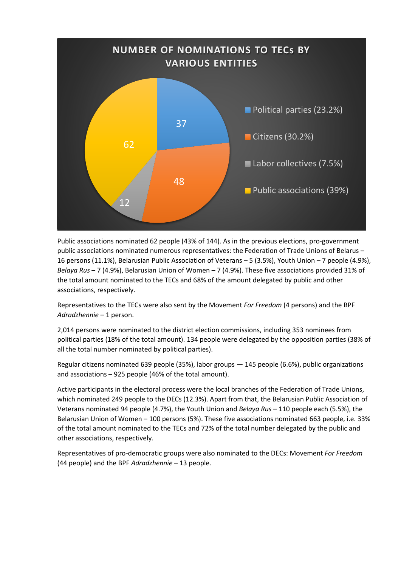

Public associations nominated 62 people (43% of 144). As in the previous elections, pro-government public associations nominated numerous representatives: the Federation of Trade Unions of Belarus – 16 persons (11.1%), Belarusian Public Association of Veterans – 5 (3.5%), Youth Union – 7 people (4.9%), *Belaya Rus* – 7 (4.9%), Belarusian Union of Women – 7 (4.9%). These five associations provided 31% of the total amount nominated to the TECs and 68% of the amount delegated by public and other associations, respectively.

Representatives to the TECs were also sent by the Movement *For Freedom* (4 persons) and the BPF *Adradzhennie* – 1 person.

2,014 persons were nominated to the district election commissions, including 353 nominees from political parties (18% of the total amount). 134 people were delegated by the opposition parties (38% of all the total number nominated by political parties).

Regular citizens nominated 639 people (35%), labor groups — 145 people (6.6%), public organizations and associations – 925 people (46% of the total amount).

Active participants in the electoral process were the local branches of the Federation of Trade Unions, which nominated 249 people to the DECs (12.3%). Apart from that, the Belarusian Public Association of Veterans nominated 94 people (4.7%), the Youth Union and *Belaya Rus* – 110 people each (5.5%), the Belarusian Union of Women – 100 persons (5%). These five associations nominated 663 people, i.e. 33% of the total amount nominated to the TECs and 72% of the total number delegated by the public and other associations, respectively.

Representatives of pro-democratic groups were also nominated to the DECs: Movement *For Freedom* (44 people) and the BPF *Adradzhennie* – 13 people.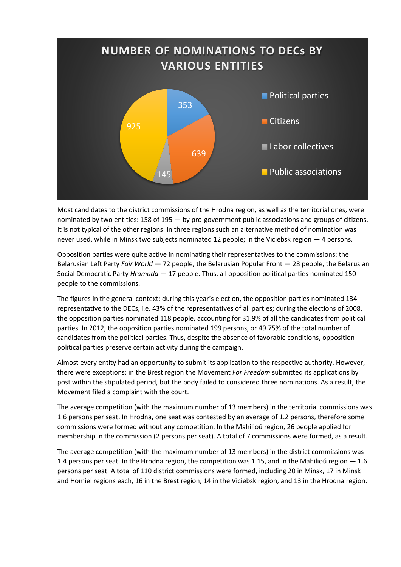

Most candidates to the district commissions of the Hrodna region, as well as the territorial ones, were nominated by two entities: 158 of 195 — by pro-government public associations and groups of citizens. It is not typical of the other regions: in three regions such an alternative method of nomination was never used, while in Minsk two subjects nominated 12 people; in the Viciebsk region — 4 persons.

Opposition parties were quite active in nominating their representatives to the commissions: the Belarusian Left Party *Fair World* — 72 people, the Belarusian Popular Front — 28 people, the Belarusian Social Democratic Party *Hramada* — 17 people. Thus, all opposition political parties nominated 150 people to the commissions.

The figures in the general context: during this year's election, the opposition parties nominated 134 representative to the DECs, i.e. 43% of the representatives of all parties; during the elections of 2008, the opposition parties nominated 118 people, accounting for 31.9% of all the candidates from political parties. In 2012, the opposition parties nominated 199 persons, or 49.75% of the total number of candidates from the political parties. Thus, despite the absence of favorable conditions, opposition political parties preserve certain activity during the campaign.

Almost every entity had an opportunity to submit its application to the respective authority. However, there were exceptions: in the Brest region the Movement *For Freedom* submitted its applications by post within the stipulated period, but the body failed to considered three nominations. As a result, the Movement filed a complaint with the court.

The average competition (with the maximum number of 13 members) in the territorial commissions was 1.6 persons per seat. In Hrodna, one seat was contested by an average of 1.2 persons, therefore some commissions were formed without any competition. In the Mahilioŭ region, 26 people applied for membership in the commission (2 persons per seat). A total of 7 commissions were formed, as a result.

The average competition (with the maximum number of 13 members) in the district commissions was 1.4 persons per seat. In the Hrodna region, the competition was 1.15, and in the Mahilioŭ region  $-1.6$ persons per seat. A total of 110 district commissions were formed, including 20 in Minsk, 17 in Minsk and Homieĺ regions each, 16 in the Brest region, 14 in the Viciebsk region, and 13 in the Hrodna region.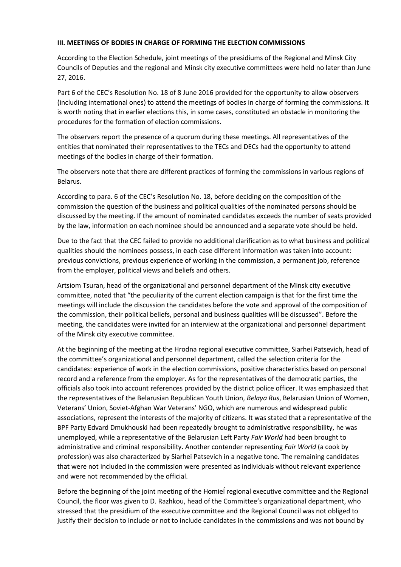### **III. MEETINGS OF BODIES IN CHARGE OF FORMING THE ELECTION COMMISSIONS**

According to the Election Schedule, joint meetings of the presidiums of the Regional and Minsk City Councils of Deputies and the regional and Minsk city executive committees were held no later than June 27, 2016.

Part 6 of the CEC's Resolution No. 18 of 8 June 2016 provided for the opportunity to allow observers (including international ones) to attend the meetings of bodies in charge of forming the commissions. It is worth noting that in earlier elections this, in some cases, constituted an obstacle in monitoring the procedures for the formation of election commissions.

The observers report the presence of a quorum during these meetings. All representatives of the entities that nominated their representatives to the TECs and DECs had the opportunity to attend meetings of the bodies in charge of their formation.

The observers note that there are different practices of forming the commissions in various regions of Belarus.

According to para. 6 of the CEC's Resolution No. 18, before deciding on the composition of the commission the question of the business and political qualities of the nominated persons should be discussed by the meeting. If the amount of nominated candidates exceeds the number of seats provided by the law, information on each nominee should be announced and a separate vote should be held.

Due to the fact that the CEC failed to provide no additional clarification as to what business and political qualities should the nominees possess, in each case different information was taken into account: previous convictions, previous experience of working in the commission, a permanent job, reference from the employer, political views and beliefs and others.

Artsiom Tsuran, head of the organizational and personnel department of the Minsk city executive committee, noted that "the peculiarity of the current election campaign is that for the first time the meetings will include the discussion the candidates before the vote and approval of the composition of the commission, their political beliefs, personal and business qualities will be discussed". Before the meeting, the candidates were invited for an interview at the organizational and personnel department of the Minsk city executive committee.

At the beginning of the meeting at the Hrodna regional executive committee, Siarhei Patsevich, head of the committee's organizational and personnel department, called the selection criteria for the candidates: experience of work in the election commissions, positive characteristics based on personal record and a reference from the employer. As for the representatives of the democratic parties, the officials also took into account references provided by the district police officer. It was emphasized that the representatives of the Belarusian Republican Youth Union, *Belaya Rus*, Belarusian Union of Women, Veterans' Union, Soviet-Afghan War Veterans' NGO, which are numerous and widespread public associations, represent the interests of the majority of citizens. It was stated that a representative of the BPF Party Edvard Dmukhouski had been repeatedly brought to administrative responsibility, he was unemployed, while a representative of the Belarusian Left Party *Fair World* had been brought to administrative and criminal responsibility. Another contender representing *Fair World* (a cook by profession) was also characterized by Siarhei Patsevich in a negative tone. The remaining candidates that were not included in the commission were presented as individuals without relevant experience and were not recommended by the official.

Before the beginning of the joint meeting of the Homieĺ regional executive committee and the Regional Council, the floor was given to D. Razhkou, head of the Committee's organizational department, who stressed that the presidium of the executive committee and the Regional Council was not obliged to justify their decision to include or not to include candidates in the commissions and was not bound by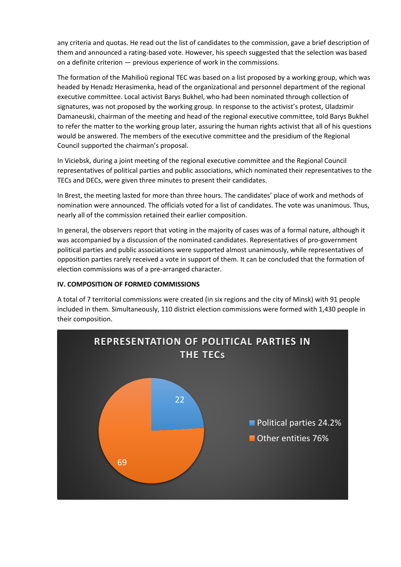any criteria and quotas. He read out the list of candidates to the commission, gave a brief description of them and announced a rating-based vote. However, his speech suggested that the selection was based on a definite criterion — previous experience of work in the commissions.

The formation of the Mahilioŭ regional TEC was based on a list proposed by a working group, which was headed by Henadz Herasimenka, head of the organizational and personnel department of the regional executive committee. Local activist Barys Bukhel, who had been nominated through collection of signatures, was not proposed by the working group. In response to the activist's protest, Uladzimir Damaneuski, chairman of the meeting and head of the regional executive committee, told Barys Bukhel to refer the matter to the working group later, assuring the human rights activist that all of his questions would be answered. The members of the executive committee and the presidium of the Regional Council supported the chairman's proposal.

In Viciebsk, during a joint meeting of the regional executive committee and the Regional Council representatives of political parties and public associations, which nominated their representatives to the TECs and DECs, were given three minutes to present their candidates.

In Brest, the meeting lasted for more than three hours. The candidates' place of work and methods of nomination were announced. The officials voted for a list of candidates. The vote was unanimous. Thus, nearly all of the commission retained their earlier composition.

In general, the observers report that voting in the majority of cases was of a formal nature, although it was accompanied by a discussion of the nominated candidates. Representatives of pro-government political parties and public associations were supported almost unanimously, while representatives of opposition parties rarely received a vote in support of them. It can be concluded that the formation of election commissions was of a pre-arranged character.

## **IV. COMPOSITION OF FORMED COMMISSIONS**

A total of 7 territorial commissions were created (in six regions and the city of Minsk) with 91 people included in them. Simultaneously, 110 district election commissions were formed with 1,430 people in their composition.

![](_page_6_Figure_7.jpeg)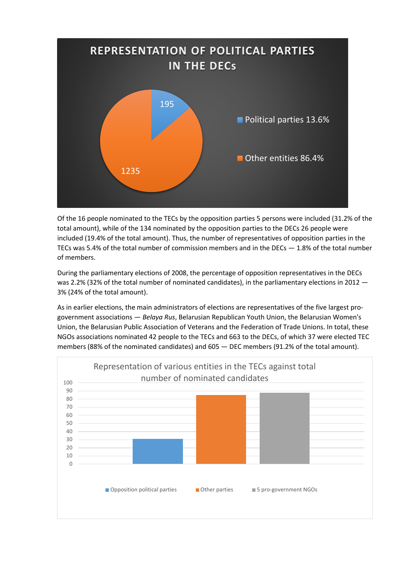![](_page_7_Figure_0.jpeg)

Of the 16 people nominated to the TECs by the opposition parties 5 persons were included (31.2% of the total amount), while of the 134 nominated by the opposition parties to the DECs 26 people were included (19.4% of the total amount). Thus, the number of representatives of opposition parties in the TECs was 5.4% of the total number of commission members and in the DECs  $-1.8$ % of the total number of members.

During the parliamentary elections of 2008, the percentage of opposition representatives in the DECs was 2.2% (32% of the total number of nominated candidates), in the parliamentary elections in 2012 – 3% (24% of the total amount).

As in earlier elections, the main administrators of elections are representatives of the five largest progovernment associations — *Belaya Rus*, Belarusian Republican Youth Union, the Belarusian Women's Union, the Belarusian Public Association of Veterans and the Federation of Trade Unions. In total, these NGOs associations nominated 42 people to the TECs and 663 to the DECs, of which 37 were elected TEC members (88% of the nominated candidates) and 605 — DEC members (91.2% of the total amount).

![](_page_7_Figure_4.jpeg)